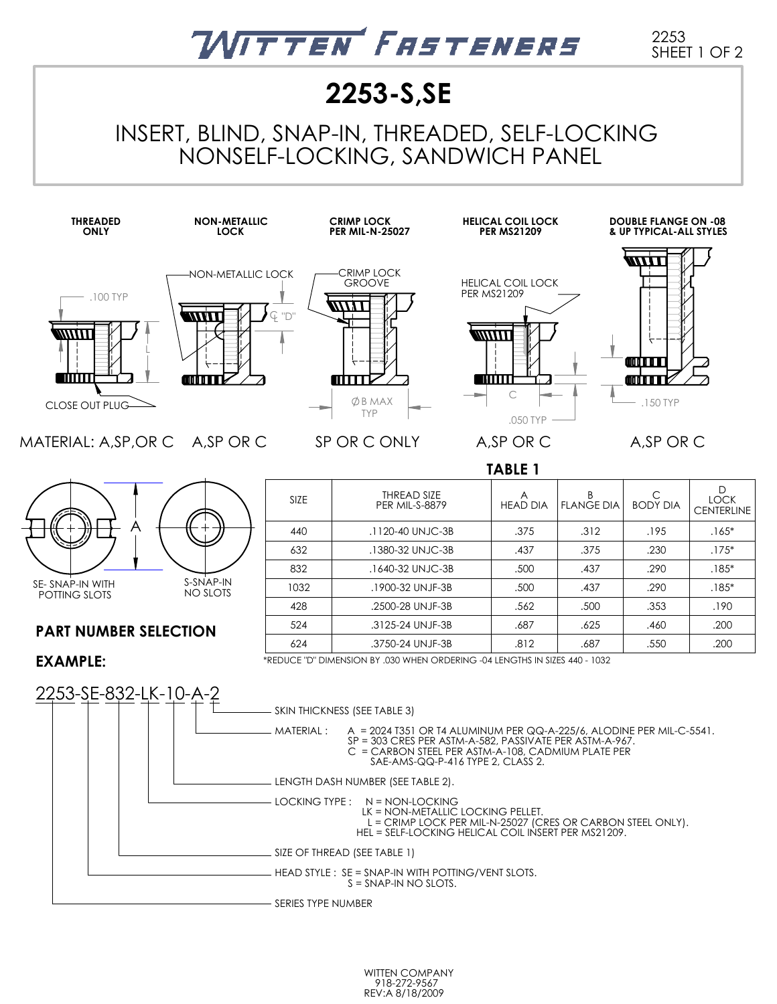# VITTEN FASTENERS

2253 SHEET 1 OF 2

## **2253-S,SE**

INSERT, BLIND, SNAP-IN, THREADED, SELF-LOCKING NONSELF-LOCKING, SANDWICH PANEL



WITTEN COMPANY 918-272-9567 REV:A 8/18/2009